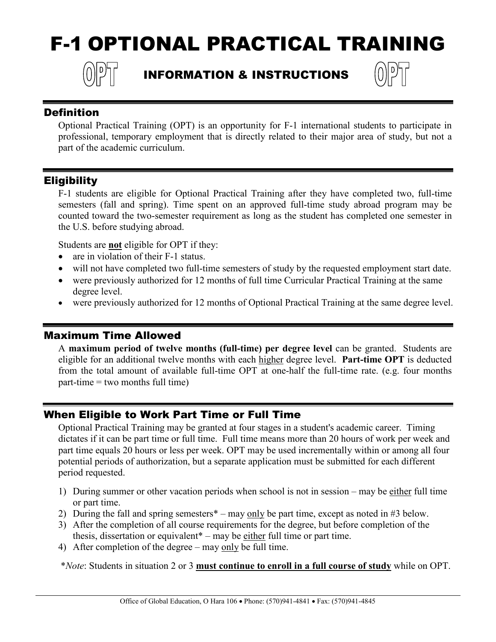# F-1 OPTIONAL PRACTICAL TRAINING



## INFORMATION & INSTRUCTIONS



#### **Definition**

Optional Practical Training (OPT) is an opportunity for F-1 international students to participate in professional, temporary employment that is directly related to their major area of study, but not a part of the academic curriculum.

#### Eligibility

F-1 students are eligible for Optional Practical Training after they have completed two, full-time semesters (fall and spring). Time spent on an approved full-time study abroad program may be counted toward the two-semester requirement as long as the student has completed one semester in the U.S. before studying abroad.

Students are **not** eligible for OPT if they:

- are in violation of their F-1 status.
- will not have completed two full-time semesters of study by the requested employment start date.
- were previously authorized for 12 months of full time Curricular Practical Training at the same degree level.
- were previously authorized for 12 months of Optional Practical Training at the same degree level.

#### Maximum Time Allowed

A **maximum period of twelve months (full-time) per degree level** can be granted. Students are eligible for an additional twelve months with each higher degree level. **Part-time OPT** is deducted from the total amount of available full-time OPT at one-half the full-time rate. (e.g. four months part-time = two months full time)

#### When Eligible to Work Part Time or Full Time

Optional Practical Training may be granted at four stages in a student's academic career. Timing dictates if it can be part time or full time. Full time means more than 20 hours of work per week and part time equals 20 hours or less per week. OPT may be used incrementally within or among all four potential periods of authorization, but a separate application must be submitted for each different period requested.

- 1) During summer or other vacation periods when school is not in session may be either full time or part time.
- 2) During the fall and spring semesters  $*$  may only be part time, except as noted in #3 below.
- 3) After the completion of all course requirements for the degree, but before completion of the thesis, dissertation or equivalent\* – may be either full time or part time.
- 4) After completion of the degree may only be full time.

\**Note*: Students in situation 2 or 3 **must continue to enroll in a full course of study** while on OPT.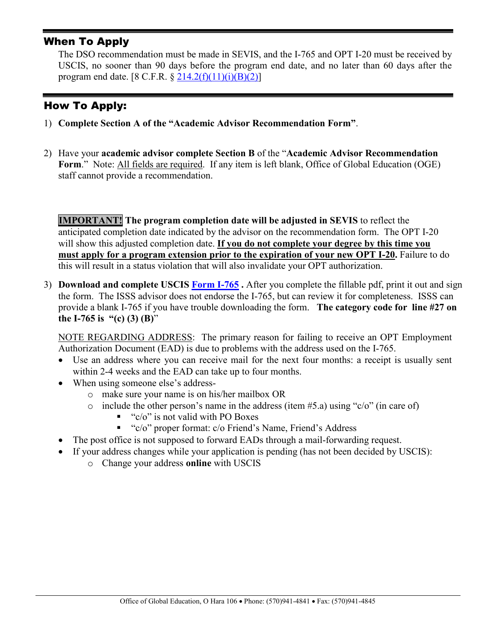#### When To Apply

The DSO recommendation must be made in SEVIS, and the I-765 and OPT I-20 must be received by USCIS, no sooner than 90 days before the program end date, and no later than 60 days after the program end date.  $[8 \text{ C.F.R. } \frac{6}{9} \frac{214.2(f)(11)(i)(B)(2)}{214.2(f)(11)(i)(B)(2)}]$ 

### How To Apply:

- 1) **Complete Section A of the "Academic Advisor Recommendation Form"**.
- 2) Have your **academic advisor complete Section B** of the "**Academic Advisor Recommendation**  Form." Note: All fields are required. If any item is left blank, Office of Global Education (OGE) staff cannot provide a recommendation.

**IMPORTANT! The program completion date will be adjusted in SEVIS** to reflect the anticipated completion date indicated by the advisor on the recommendation form. The OPT I-20 will show this adjusted completion date. **If you do not complete your degree by this time you must apply for a program extension prior to the expiration of your new OPT I-20.** Failure to do this will result in a status violation that will also invalidate your OPT authorization.

3) **Download and complete USCIS [Form I-765](https://www.uscis.gov/sites/default/files/document/forms/i-765.pdf) .** After you complete the fillable pdf, print it out and sign the form. The ISSS advisor does not endorse the I-765, but can review it for completeness. ISSS can provide a blank I-765 if you have trouble downloading the form. **The category code for line #27 on the I-765 is "(c) (3) (B)**"

NOTE REGARDING ADDRESS: The primary reason for failing to receive an OPT Employment Authorization Document (EAD) is due to problems with the address used on the I-765.

- Use an address where you can receive mail for the next four months: a receipt is usually sent within 2-4 weeks and the EAD can take up to four months.
- When using someone else's address
	- o make sure your name is on his/her mailbox OR
	- o include the other person's name in the address (item  $#5.a$ ) using "c/o" (in care of)
		- $\bullet$  "c/o" is not valid with PO Boxes
		- "c/o" proper format: c/o Friend's Name, Friend's Address
- The post office is not supposed to forward EADs through a mail-forwarding request.
- If your address changes while your application is pending (has not been decided by USCIS):
	- o Change your address **online** with USCIS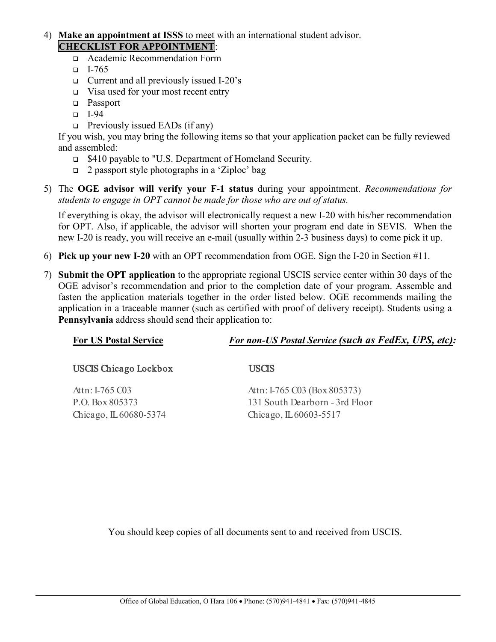- 4) **Make an appointment at ISSS** to meet with an international student advisor. **CHECKLIST FOR APPOINTMENT**:
	- Academic Recommendation Form
	- $-I-765$
	- Current and all previously issued I-20's
	- $\Box$  Visa used for your most recent entry
	- **D** Passport
	- $I-94$
	- $\Box$  Previously issued EADs (if any)

If you wish, you may bring the following items so that your application packet can be fully reviewed and assembled:

- \$410 payable to "U.S. Department of Homeland Security.
- $\Box$  2 passport style photographs in a 'Ziploc' bag
- 5) The **OGE advisor will verify your F-1 status** during your appointment. *Recommendations for students to engage in OPT cannot be made for those who are out of status.*

If everything is okay, the advisor will electronically request a new I-20 with his/her recommendation for OPT. Also, if applicable, the advisor will shorten your program end date in SEVIS. When the new I-20 is ready, you will receive an e-mail (usually within 2-3 business days) to come pick it up.

- 6) **Pick up your new I-20** with an OPT recommendation from OGE. Sign the I-20 in Section #11.
- 7) **Submit the OPT application** to the appropriate regional USCIS service center within 30 days of the OGE advisor's recommendation and prior to the completion date of your program. Assemble and fasten the application materials together in the order listed below. OGE recommends mailing the application in a traceable manner (such as certified with proof of delivery receipt). Students using a **Pennsylvania** address should send their application to:

| <b>For US Postal Service</b> | For non-US Postal Service (such as FedEx, UPS, etc): |  |  |  |
|------------------------------|------------------------------------------------------|--|--|--|
| USCIS Chicago Lockbox        | <b>USCIS</b>                                         |  |  |  |
| Attn: I-765 $C03$            | Attn: I-765 C03 (Box 805373)                         |  |  |  |
| P.O. Box 805373              | 131 South Dearborn - 3rd Floor                       |  |  |  |
| Chicago, IL 60680-5374       | Chicago, IL 60603-5517                               |  |  |  |
|                              |                                                      |  |  |  |
|                              |                                                      |  |  |  |

You should keep copies of all documents sent to and received from USCIS.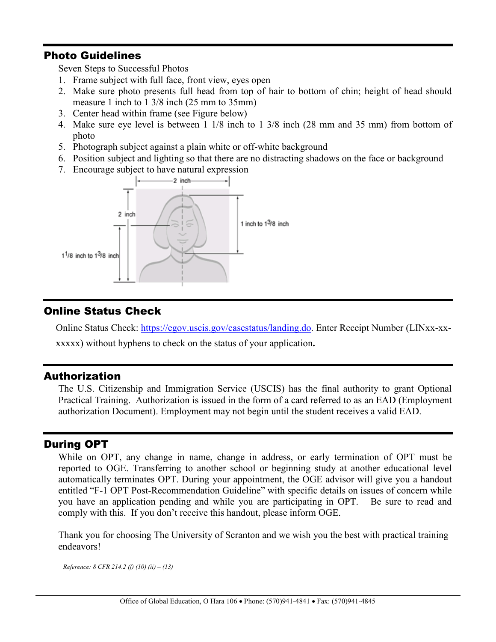#### Photo Guidelines

Seven Steps to Successful Photos

- 1. Frame subject with full face, front view, eyes open
- 2. Make sure photo presents full head from top of hair to bottom of chin; height of head should measure 1 inch to 1 3/8 inch (25 mm to 35mm)
- 3. Center head within frame (see Figure below)
- 4. Make sure eye level is between 1 1/8 inch to 1 3/8 inch (28 mm and 35 mm) from bottom of photo
- 5. Photograph subject against a plain white or off-white background
- 6. Position subject and lighting so that there are no distracting shadows on the face or background
- 7. Encourage subject to have natural expression



### Online Status Check

Online Status Check: [https://egov.uscis.gov/casestatus/landing.do.](https://egov.uscis.gov/casestatus/landing.do) Enter Receipt Number (LINxx-xx-

xxxxx) without hyphens to check on the status of your application**.**

#### Authorization

The U.S. Citizenship and Immigration Service (USCIS) has the final authority to grant Optional Practical Training. Authorization is issued in the form of a card referred to as an EAD (Employment authorization Document). Employment may not begin until the student receives a valid EAD.

#### During OPT

While on OPT, any change in name, change in address, or early termination of OPT must be reported to OGE. Transferring to another school or beginning study at another educational level automatically terminates OPT. During your appointment, the OGE advisor will give you a handout entitled "F-1 OPT Post-Recommendation Guideline" with specific details on issues of concern while you have an application pending and while you are participating in OPT. Be sure to read and comply with this. If you don't receive this handout, please inform OGE.

Thank you for choosing The University of Scranton and we wish you the best with practical training endeavors!

*Reference: 8 CFR 214.2 (f) (10) (ii) – (13)*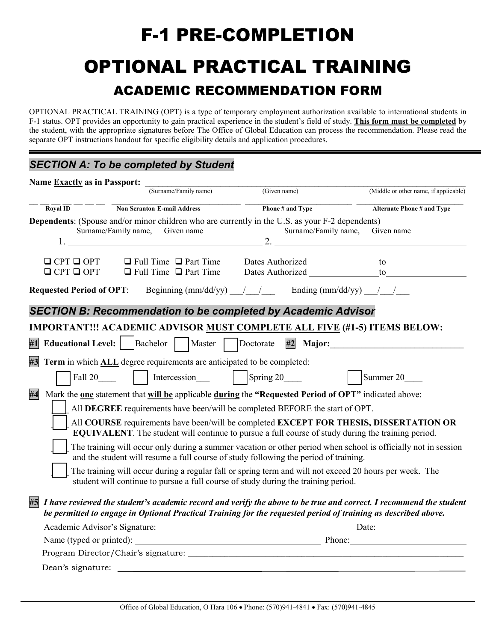## F-1 PRE-COMPLETION OPTIONAL PRACTICAL TRAINING ACADEMIC RECOMMENDATION FORM

OPTIONAL PRACTICAL TRAINING (OPT) is a type of temporary employment authorization available to international students in F-1 status. OPT provides an opportunity to gain practical experience in the student's field of study. **This form must be completed** by the student, with the appropriate signatures before The Office of Global Education can process the recommendation. Please read the separate OPT instructions handout for specific eligibility details and application procedures.

## *SECTION A: To be completed by Student*

| Name Exactly as in Passport:       |                                                                                                                                                                                                                                      |                                                    |                                       |
|------------------------------------|--------------------------------------------------------------------------------------------------------------------------------------------------------------------------------------------------------------------------------------|----------------------------------------------------|---------------------------------------|
|                                    | (Surname/Family name)                                                                                                                                                                                                                | (Given name)                                       | (Middle or other name, if applicable) |
| $\overline{\text{Royal}}$ ID       | <b>Non Scranton E-mail Address</b>                                                                                                                                                                                                   | Phone # and Type                                   | <b>Alternate Phone # and Type</b>     |
|                                    | Dependents: (Spouse and/or minor children who are currently in the U.S. as your F-2 dependents)<br>Surname/Family name, Given name<br>$1.$ 2.                                                                                        | Surname/Family name,                               | Given name                            |
| $Q$ CPT $Q$ OPT<br>$Q$ CPT $Q$ OPT | $\Box$ Full Time $\Box$ Part Time<br>$\Box$ Full Time $\Box$ Part Time                                                                                                                                                               |                                                    |                                       |
| <b>Requested Period of OPT:</b>    |                                                                                                                                                                                                                                      | Beginning $(mm/dd/yy)$ / / Ending $(mm/dd/yy)$ / / |                                       |
|                                    | <b>SECTION B: Recommendation to be completed by Academic Advisor</b>                                                                                                                                                                 |                                                    |                                       |
|                                    | IMPORTANT!!! ACADEMIC ADVISOR MUST COMPLETE ALL FIVE (#1-5) ITEMS BELOW:                                                                                                                                                             |                                                    |                                       |
|                                    | #1 Educational Level:   Bachelor   Master   Doctorate                                                                                                                                                                                |                                                    | $#2$ Major:                           |
| #3                                 | Term in which ALL degree requirements are anticipated to be completed:                                                                                                                                                               |                                                    |                                       |
|                                    | Fall 20   Intercession   Spring 20                                                                                                                                                                                                   |                                                    | Summer 20                             |
| #4                                 | Mark the one statement that will be applicable during the "Requested Period of OPT" indicated above:                                                                                                                                 |                                                    |                                       |
|                                    | All DEGREE requirements have been/will be completed BEFORE the start of OPT.                                                                                                                                                         |                                                    |                                       |
|                                    | All COURSE requirements have been/will be completed EXCEPT FOR THESIS, DISSERTATION OR<br>EQUIVALENT. The student will continue to pursue a full course of study during the training period.                                         |                                                    |                                       |
|                                    | The training will occur only during a summer vacation or other period when school is officially not in session<br>and the student will resume a full course of study following the period of training.                               |                                                    |                                       |
|                                    | The training will occur during a regular fall or spring term and will not exceed 20 hours per week. The<br>student will continue to pursue a full course of study during the training period.                                        |                                                    |                                       |
| #5                                 | I have reviewed the student's academic record and verify the above to be true and correct. I recommend the student<br>be permitted to engage in Optional Practical Training for the requested period of training as described above. |                                                    |                                       |
|                                    | Academic Advisor's Signature: Date: Date: Date:                                                                                                                                                                                      |                                                    |                                       |
|                                    |                                                                                                                                                                                                                                      |                                                    |                                       |
|                                    |                                                                                                                                                                                                                                      |                                                    |                                       |
| Dean's signature:                  |                                                                                                                                                                                                                                      |                                                    |                                       |